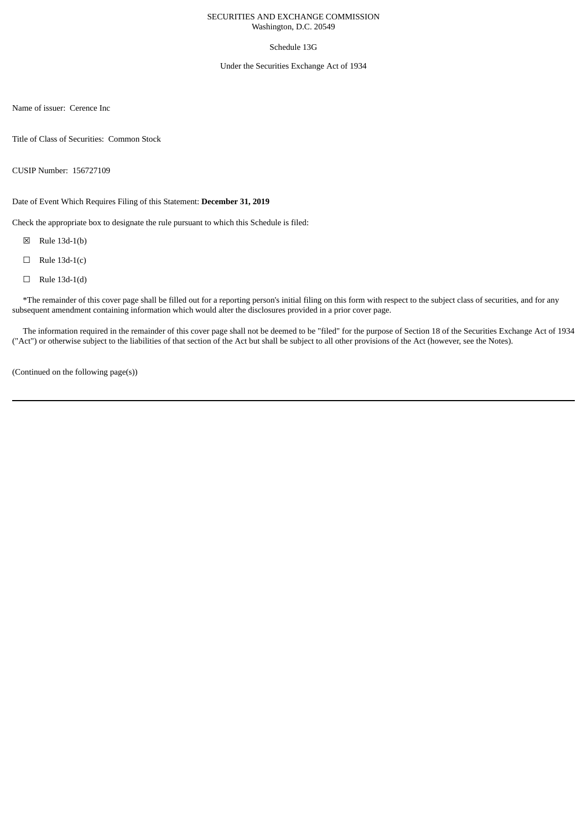## SECURITIES AND EXCHANGE COMMISSION Washington, D.C. 20549

## Schedule 13G

### Under the Securities Exchange Act of 1934

Name of issuer: Cerence Inc

Title of Class of Securities: Common Stock

CUSIP Number: 156727109

Date of Event Which Requires Filing of this Statement: **December 31, 2019**

Check the appropriate box to designate the rule pursuant to which this Schedule is filed:

- ☒ Rule 13d-1(b)
- $\Box$  Rule 13d-1(c)
- $\Box$  Rule 13d-1(d)

\*The remainder of this cover page shall be filled out for a reporting person's initial filing on this form with respect to the subject class of securities, and for any subsequent amendment containing information which would alter the disclosures provided in a prior cover page.

The information required in the remainder of this cover page shall not be deemed to be "filed" for the purpose of Section 18 of the Securities Exchange Act of 1934 ("Act") or otherwise subject to the liabilities of that section of the Act but shall be subject to all other provisions of the Act (however, see the Notes).

(Continued on the following page(s))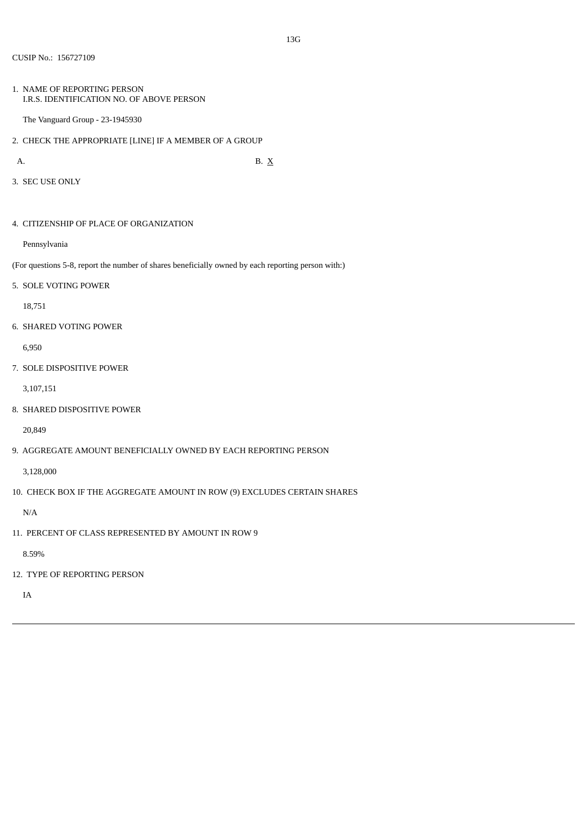1. NAME OF REPORTING PERSON I.R.S. IDENTIFICATION NO. OF ABOVE PERSON

The Vanguard Group - 23-1945930

2. CHECK THE APPROPRIATE [LINE] IF A MEMBER OF A GROUP

A. B.  $X$ 

3. SEC USE ONLY

4. CITIZENSHIP OF PLACE OF ORGANIZATION

Pennsylvania

(For questions 5-8, report the number of shares beneficially owned by each reporting person with:)

5. SOLE VOTING POWER

18,751

6. SHARED VOTING POWER

6,950

7. SOLE DISPOSITIVE POWER

3,107,151

8. SHARED DISPOSITIVE POWER

20,849

9. AGGREGATE AMOUNT BENEFICIALLY OWNED BY EACH REPORTING PERSON

3,128,000

10. CHECK BOX IF THE AGGREGATE AMOUNT IN ROW (9) EXCLUDES CERTAIN SHARES

N/A

11. PERCENT OF CLASS REPRESENTED BY AMOUNT IN ROW 9

8.59%

12. TYPE OF REPORTING PERSON

IA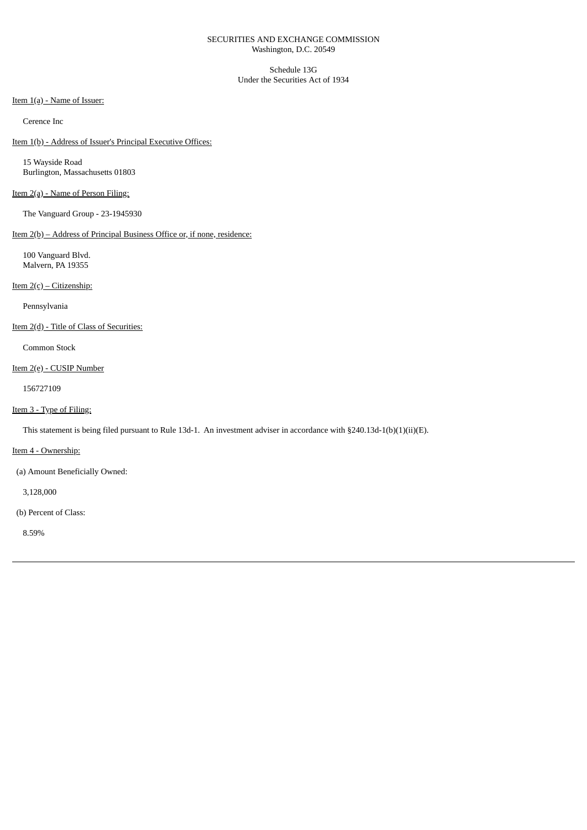## SECURITIES AND EXCHANGE COMMISSION Washington, D.C. 20549

Schedule 13G Under the Securities Act of 1934

Item 1(a) - Name of Issuer:

Cerence Inc

Item 1(b) - Address of Issuer's Principal Executive Offices:

15 Wayside Road Burlington, Massachusetts 01803

## Item 2(a) - Name of Person Filing:

The Vanguard Group - 23-1945930

# Item 2(b) – Address of Principal Business Office or, if none, residence:

100 Vanguard Blvd. Malvern, PA 19355

Item 2(c) – Citizenship:

Pennsylvania

Item 2(d) - Title of Class of Securities:

Common Stock

## Item 2(e) - CUSIP Number

156727109

## Item 3 - Type of Filing:

This statement is being filed pursuant to Rule 13d-1. An investment adviser in accordance with §240.13d-1(b)(1)(ii)(E).

Item 4 - Ownership:

(a) Amount Beneficially Owned:

3,128,000

(b) Percent of Class:

8.59%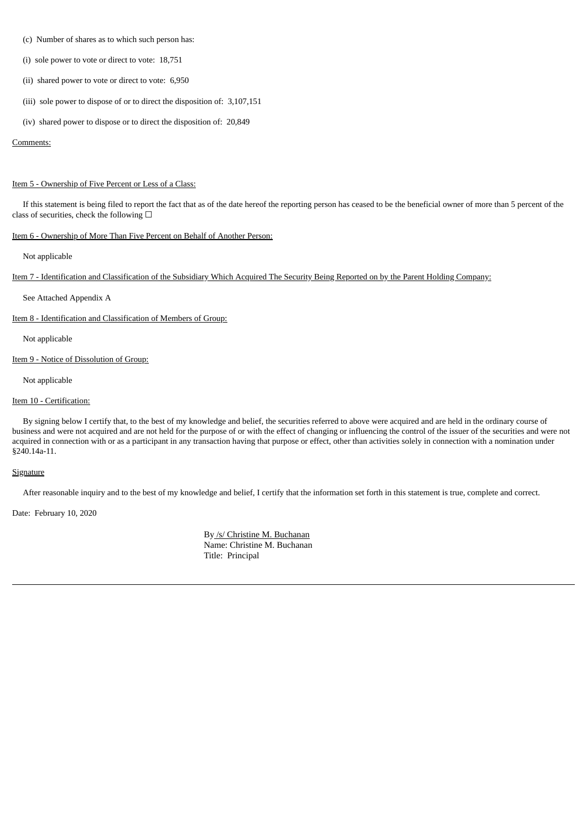- (c) Number of shares as to which such person has:
- (i) sole power to vote or direct to vote: 18,751
- (ii) shared power to vote or direct to vote: 6,950
- (iii) sole power to dispose of or to direct the disposition of: 3,107,151
- (iv) shared power to dispose or to direct the disposition of: 20,849

#### Comments:

#### Item 5 - Ownership of Five Percent or Less of a Class:

If this statement is being filed to report the fact that as of the date hereof the reporting person has ceased to be the beneficial owner of more than 5 percent of the class of securities, check the following  $\Box$ 

## Item 6 - Ownership of More Than Five Percent on Behalf of Another Person:

Not applicable

Item 7 - Identification and Classification of the Subsidiary Which Acquired The Security Being Reported on by the Parent Holding Company:

See Attached Appendix A

Item 8 - Identification and Classification of Members of Group:

Not applicable

Item 9 - Notice of Dissolution of Group:

Not applicable

### Item 10 - Certification:

By signing below I certify that, to the best of my knowledge and belief, the securities referred to above were acquired and are held in the ordinary course of business and were not acquired and are not held for the purpose of or with the effect of changing or influencing the control of the issuer of the securities and were not acquired in connection with or as a participant in any transaction having that purpose or effect, other than activities solely in connection with a nomination under §240.14a-11.

#### **Signature**

After reasonable inquiry and to the best of my knowledge and belief, I certify that the information set forth in this statement is true, complete and correct.

Date: February 10, 2020

By /s/ Christine M. Buchanan Name: Christine M. Buchanan Title: Principal